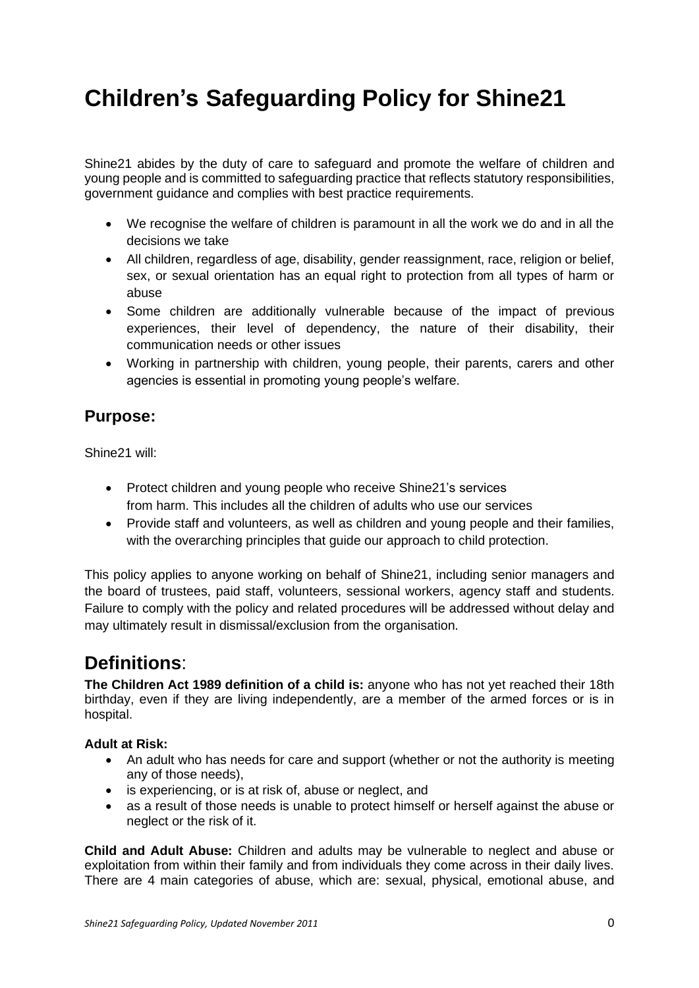# **Children's Safeguarding Policy for Shine21**

Shine21 abides by the duty of care to safeguard and promote the welfare of children and young people and is committed to safeguarding practice that reflects statutory responsibilities, government guidance and complies with best practice requirements.

- We recognise the welfare of children is paramount in all the work we do and in all the decisions we take
- All children, regardless of age, disability, gender reassignment, race, religion or belief, sex, or sexual orientation has an equal right to protection from all types of harm or abuse
- Some children are additionally vulnerable because of the impact of previous experiences, their level of dependency, the nature of their disability, their communication needs or other issues
- Working in partnership with children, young people, their parents, carers and other agencies is essential in promoting young people's welfare.

# **Purpose:**

Shine21 will:

- Protect children and young people who receive Shine21's services from harm. This includes all the children of adults who use our services
- Provide staff and volunteers, as well as children and young people and their families, with the overarching principles that guide our approach to child protection.

This policy applies to anyone working on behalf of Shine21, including senior managers and the board of trustees, paid staff, volunteers, sessional workers, agency staff and students. Failure to comply with the policy and related procedures will be addressed without delay and may ultimately result in dismissal/exclusion from the organisation.

# **Definitions**:

**The Children Act 1989 definition of a child is:** anyone who has not yet reached their 18th birthday, even if they are living independently, are a member of the armed forces or is in hospital.

### **Adult at Risk:**

- An adult who has needs for care and support (whether or not the authority is meeting any of those needs),
- is experiencing, or is at risk of, abuse or neglect, and
- as a result of those needs is unable to protect himself or herself against the abuse or neglect or the risk of it.

**Child and Adult Abuse:** Children and adults may be vulnerable to neglect and abuse or exploitation from within their family and from individuals they come across in their daily lives. There are 4 main categories of abuse, which are: sexual, physical, emotional abuse, and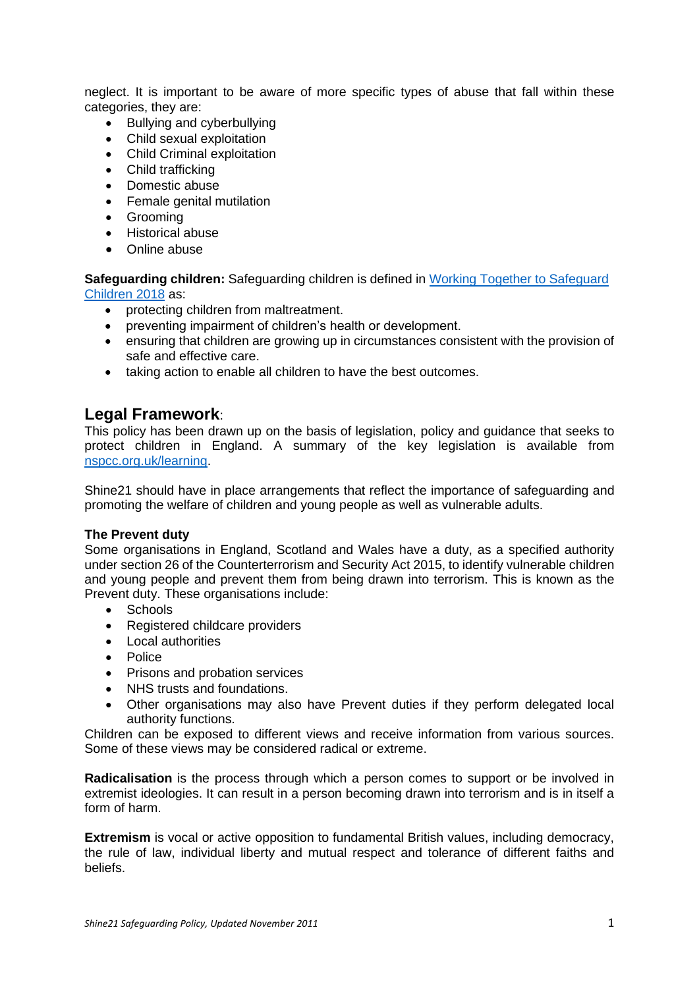neglect. It is important to be aware of more specific types of abuse that fall within these categories, they are:

- Bullying and cyberbullying
- Child sexual exploitation
- Child Criminal exploitation
- Child trafficking
- Domestic abuse
- Female genital mutilation
- Grooming
- Historical abuse
- Online abuse

**Safeguarding children:** Safeguarding children is defined in [Working Together to Safeguard](https://www.gov.uk/government/publications/working-together-to-safeguard-children--2)  [Children](https://www.gov.uk/government/publications/working-together-to-safeguard-children--2) 2018 as:

- protecting children from maltreatment.
- preventing impairment of children's health or development.
- ensuring that children are growing up in circumstances consistent with the provision of safe and effective care.
- taking action to enable all children to have the best outcomes.

### **Legal Framework**:

This policy has been drawn up on the basis of legislation, policy and guidance that seeks to protect children in England. A summary of the key legislation is available from [nspcc.org.uk/learning.](https://learning.nspcc.org.uk/)

Shine21 should have in place arrangements that reflect the importance of safeguarding and promoting the welfare of children and young people as well as vulnerable adults.

#### **The Prevent duty**

Some organisations in England, Scotland and Wales have a duty, as a specified authority under section 26 of the Counterterrorism and Security Act 2015, to identify vulnerable children and young people and prevent them from being drawn into terrorism. This is known as the Prevent duty. These organisations include:

- Schools
- Registered childcare providers
- Local authorities
- Police
- Prisons and probation services
- NHS trusts and foundations.
- Other organisations may also have Prevent duties if they perform delegated local authority functions.

Children can be exposed to different views and receive information from various sources. Some of these views may be considered radical or extreme.

**Radicalisation** is the process through which a person comes to support or be involved in extremist ideologies. It can result in a person becoming drawn into terrorism and is in itself a form of harm.

**Extremism** is vocal or active opposition to fundamental British values, including democracy, the rule of law, individual liberty and mutual respect and tolerance of different faiths and beliefs.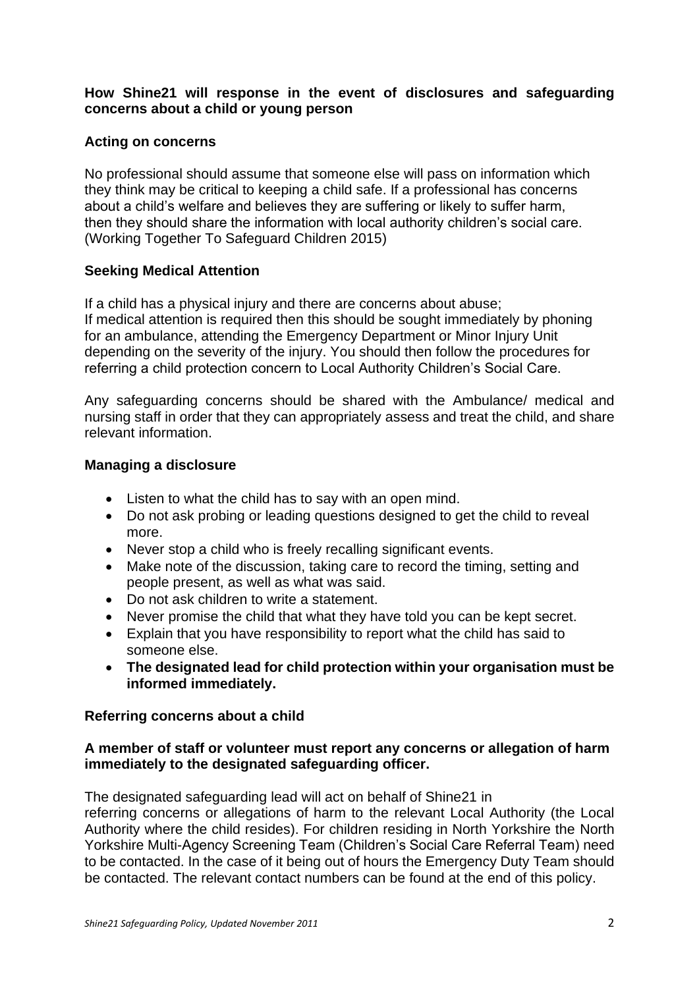# **How Shine21 will response in the event of disclosures and safeguarding concerns about a child or young person**

# **Acting on concerns**

No professional should assume that someone else will pass on information which they think may be critical to keeping a child safe. If a professional has concerns about a child's welfare and believes they are suffering or likely to suffer harm, then they should share the information with local authority children's social care. (Working Together To Safeguard Children 2015)

# **Seeking Medical Attention**

If a child has a physical injury and there are concerns about abuse; If medical attention is required then this should be sought immediately by phoning for an ambulance, attending the Emergency Department or Minor Injury Unit depending on the severity of the injury. You should then follow the procedures for referring a child protection concern to Local Authority Children's Social Care.

Any safeguarding concerns should be shared with the Ambulance/ medical and nursing staff in order that they can appropriately assess and treat the child, and share relevant information.

# **Managing a disclosure**

- Listen to what the child has to say with an open mind.
- Do not ask probing or leading questions designed to get the child to reveal more.
- Never stop a child who is freely recalling significant events.
- Make note of the discussion, taking care to record the timing, setting and people present, as well as what was said.
- Do not ask children to write a statement.
- Never promise the child that what they have told you can be kept secret.
- Explain that you have responsibility to report what the child has said to someone else.
- **The designated lead for child protection within your organisation must be informed immediately.**

### **Referring concerns about a child**

### **A member of staff or volunteer must report any concerns or allegation of harm immediately to the designated safeguarding officer.**

The designated safeguarding lead will act on behalf of Shine21 in referring concerns or allegations of harm to the relevant Local Authority (the Local Authority where the child resides). For children residing in North Yorkshire the North Yorkshire Multi-Agency Screening Team (Children's Social Care Referral Team) need to be contacted. In the case of it being out of hours the Emergency Duty Team should be contacted. The relevant contact numbers can be found at the end of this policy.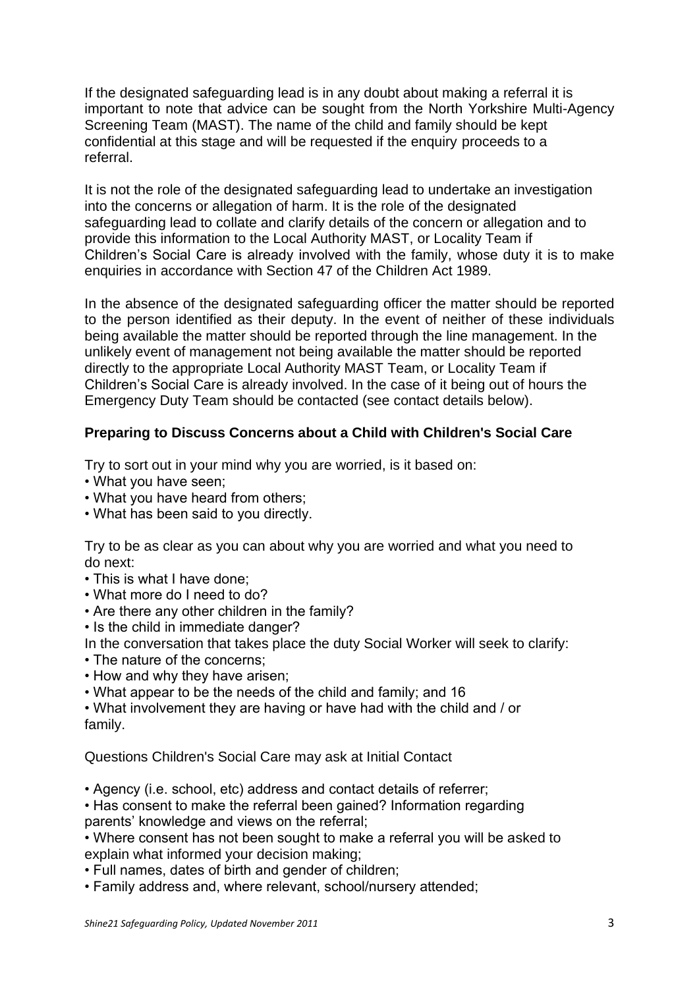If the designated safeguarding lead is in any doubt about making a referral it is important to note that advice can be sought from the North Yorkshire Multi-Agency Screening Team (MAST). The name of the child and family should be kept confidential at this stage and will be requested if the enquiry proceeds to a referral.

It is not the role of the designated safeguarding lead to undertake an investigation into the concerns or allegation of harm. It is the role of the designated safeguarding lead to collate and clarify details of the concern or allegation and to provide this information to the Local Authority MAST, or Locality Team if Children's Social Care is already involved with the family, whose duty it is to make enquiries in accordance with Section 47 of the Children Act 1989.

In the absence of the designated safeguarding officer the matter should be reported to the person identified as their deputy. In the event of neither of these individuals being available the matter should be reported through the line management. In the unlikely event of management not being available the matter should be reported directly to the appropriate Local Authority MAST Team, or Locality Team if Children's Social Care is already involved. In the case of it being out of hours the Emergency Duty Team should be contacted (see contact details below).

# **Preparing to Discuss Concerns about a Child with Children's Social Care**

Try to sort out in your mind why you are worried, is it based on:

- What you have seen;
- What you have heard from others;
- What has been said to you directly.

Try to be as clear as you can about why you are worried and what you need to do next:

- This is what I have done;
- What more do I need to do?
- Are there any other children in the family?
- Is the child in immediate danger?
- In the conversation that takes place the duty Social Worker will seek to clarify:
- The nature of the concerns;
- How and why they have arisen;
- What appear to be the needs of the child and family; and 16

• What involvement they are having or have had with the child and / or family.

Questions Children's Social Care may ask at Initial Contact

• Agency (i.e. school, etc) address and contact details of referrer;

• Has consent to make the referral been gained? Information regarding

parents' knowledge and views on the referral;

• Where consent has not been sought to make a referral you will be asked to explain what informed your decision making;

- Full names, dates of birth and gender of children;
- Family address and, where relevant, school/nursery attended;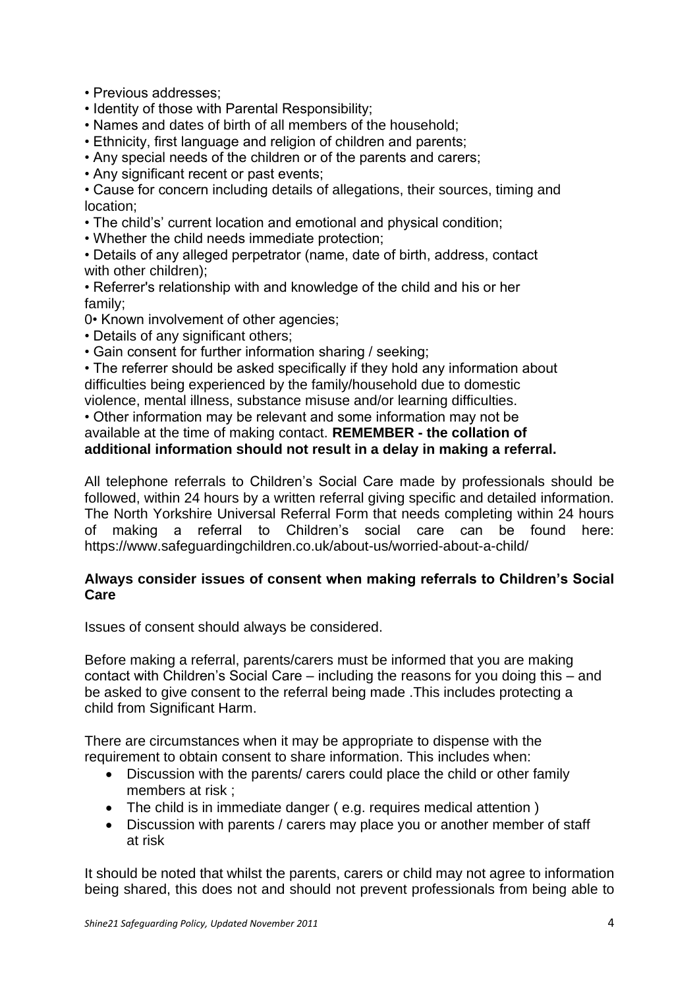- Previous addresses;
- Identity of those with Parental Responsibility;
- Names and dates of birth of all members of the household;
- Ethnicity, first language and religion of children and parents;
- Any special needs of the children or of the parents and carers;
- Any significant recent or past events;

• Cause for concern including details of allegations, their sources, timing and location;

- The child's' current location and emotional and physical condition;
- Whether the child needs immediate protection;

• Details of any alleged perpetrator (name, date of birth, address, contact with other children);

• Referrer's relationship with and knowledge of the child and his or her family;

0• Known involvement of other agencies;

- Details of any significant others;
- Gain consent for further information sharing / seeking;

• The referrer should be asked specifically if they hold any information about difficulties being experienced by the family/household due to domestic violence, mental illness, substance misuse and/or learning difficulties.

• Other information may be relevant and some information may not be

# available at the time of making contact. **REMEMBER - the collation of additional information should not result in a delay in making a referral.**

All telephone referrals to Children's Social Care made by professionals should be followed, within 24 hours by a written referral giving specific and detailed information. The North Yorkshire Universal Referral Form that needs completing within 24 hours of making a referral to Children's social care can be found here: https://www.safeguardingchildren.co.uk/about-us/worried-about-a-child/

# **Always consider issues of consent when making referrals to Children's Social Care**

Issues of consent should always be considered.

Before making a referral, parents/carers must be informed that you are making contact with Children's Social Care – including the reasons for you doing this – and be asked to give consent to the referral being made .This includes protecting a child from Significant Harm.

There are circumstances when it may be appropriate to dispense with the requirement to obtain consent to share information. This includes when:

- Discussion with the parents/ carers could place the child or other family members at risk ;
- The child is in immediate danger (e.g. requires medical attention)
- Discussion with parents / carers may place you or another member of staff at risk

It should be noted that whilst the parents, carers or child may not agree to information being shared, this does not and should not prevent professionals from being able to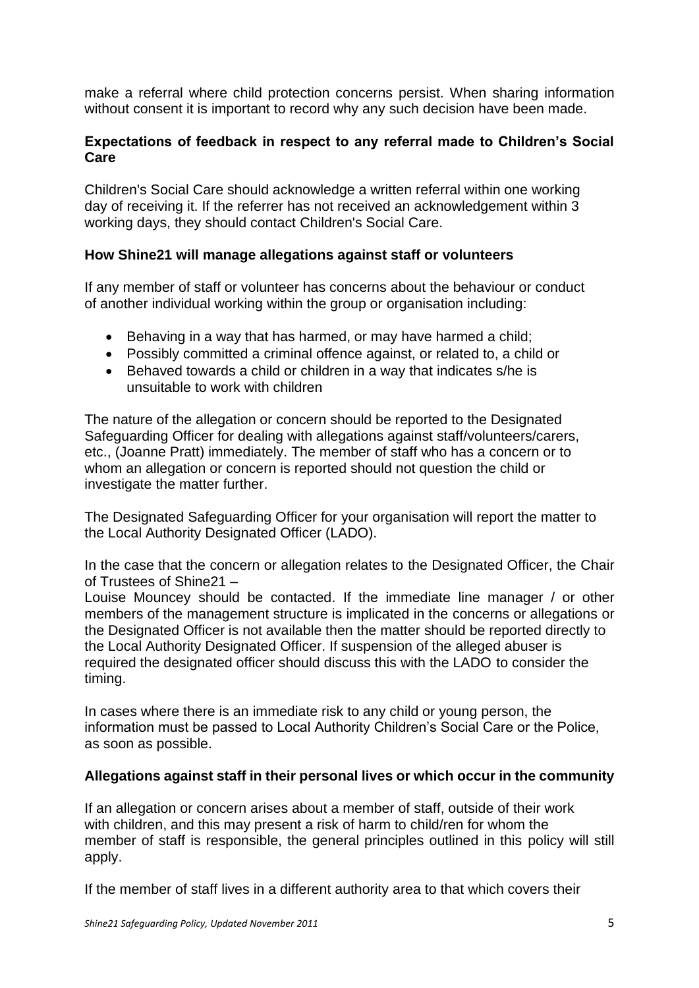make a referral where child protection concerns persist. When sharing information without consent it is important to record why any such decision have been made.

# **Expectations of feedback in respect to any referral made to Children's Social Care**

Children's Social Care should acknowledge a written referral within one working day of receiving it. If the referrer has not received an acknowledgement within 3 working days, they should contact Children's Social Care.

# **How Shine21 will manage allegations against staff or volunteers**

If any member of staff or volunteer has concerns about the behaviour or conduct of another individual working within the group or organisation including:

- Behaving in a way that has harmed, or may have harmed a child;
- Possibly committed a criminal offence against, or related to, a child or
- Behaved towards a child or children in a way that indicates s/he is unsuitable to work with children

The nature of the allegation or concern should be reported to the Designated Safeguarding Officer for dealing with allegations against staff/volunteers/carers, etc., (Joanne Pratt) immediately. The member of staff who has a concern or to whom an allegation or concern is reported should not question the child or investigate the matter further.

The Designated Safeguarding Officer for your organisation will report the matter to the Local Authority Designated Officer (LADO).

In the case that the concern or allegation relates to the Designated Officer, the Chair of Trustees of Shine21 –

Louise Mouncey should be contacted. If the immediate line manager / or other members of the management structure is implicated in the concerns or allegations or the Designated Officer is not available then the matter should be reported directly to the Local Authority Designated Officer. If suspension of the alleged abuser is required the designated officer should discuss this with the LADO to consider the timing.

In cases where there is an immediate risk to any child or young person, the information must be passed to Local Authority Children's Social Care or the Police, as soon as possible.

### **Allegations against staff in their personal lives or which occur in the community**

If an allegation or concern arises about a member of staff, outside of their work with children, and this may present a risk of harm to child/ren for whom the member of staff is responsible, the general principles outlined in this policy will still apply.

If the member of staff lives in a different authority area to that which covers their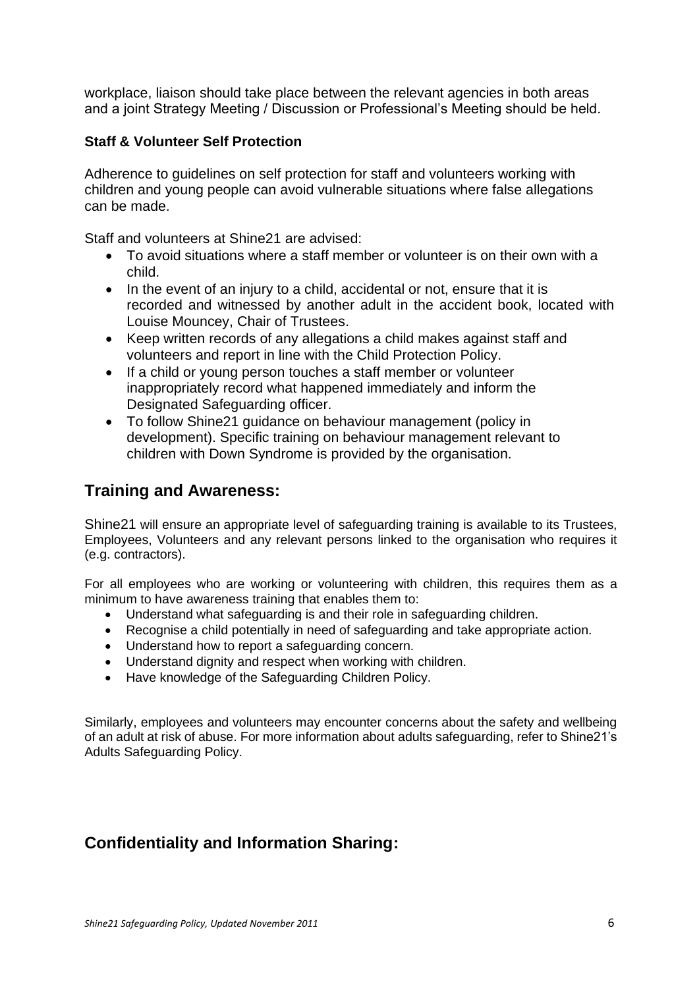workplace, liaison should take place between the relevant agencies in both areas and a joint Strategy Meeting / Discussion or Professional's Meeting should be held.

# **Staff & Volunteer Self Protection**

Adherence to guidelines on self protection for staff and volunteers working with children and young people can avoid vulnerable situations where false allegations can be made.

Staff and volunteers at Shine21 are advised:

- To avoid situations where a staff member or volunteer is on their own with a child.
- In the event of an injury to a child, accidental or not, ensure that it is recorded and witnessed by another adult in the accident book, located with Louise Mouncey, Chair of Trustees.
- Keep written records of any allegations a child makes against staff and volunteers and report in line with the Child Protection Policy.
- If a child or young person touches a staff member or volunteer inappropriately record what happened immediately and inform the Designated Safeguarding officer.
- To follow Shine21 guidance on behaviour management (policy in development). Specific training on behaviour management relevant to children with Down Syndrome is provided by the organisation.

# **Training and Awareness:**

Shine21 will ensure an appropriate level of safeguarding training is available to its Trustees, Employees, Volunteers and any relevant persons linked to the organisation who requires it (e.g. contractors).

For all employees who are working or volunteering with children, this requires them as a minimum to have awareness training that enables them to:

- Understand what safeguarding is and their role in safeguarding children.
- Recognise a child potentially in need of safeguarding and take appropriate action.
- Understand how to report a safeguarding concern.
- Understand dignity and respect when working with children.
- Have knowledge of the Safeguarding Children Policy.

Similarly, employees and volunteers may encounter concerns about the safety and wellbeing of an adult at risk of abuse. For more information about adults safeguarding, refer to Shine21's Adults Safeguarding Policy.

# **Confidentiality and Information Sharing:**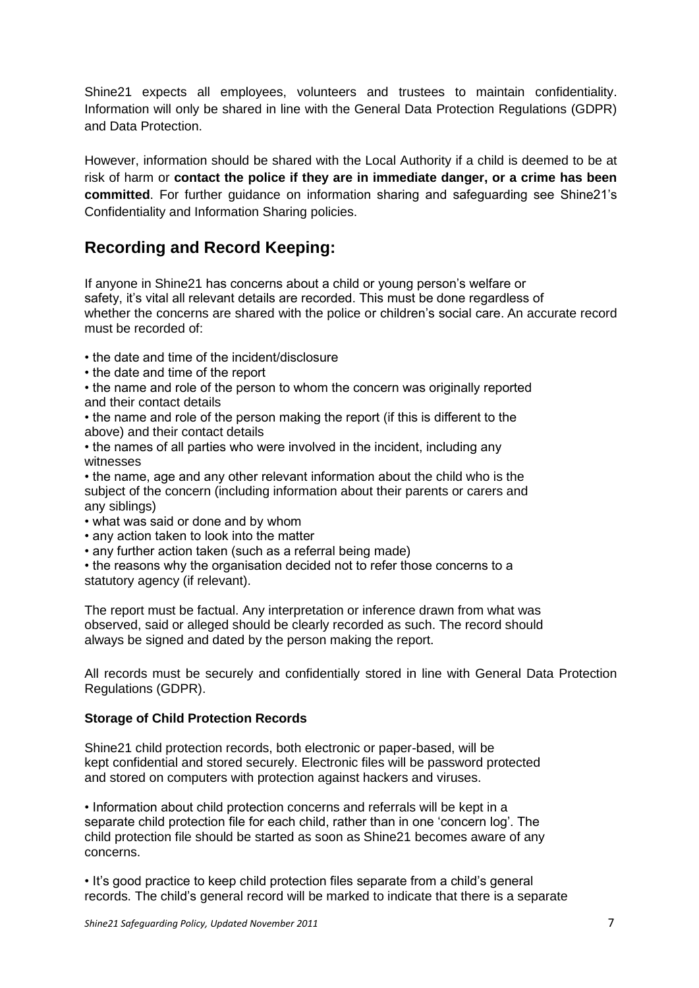Shine21 expects all employees, volunteers and trustees to maintain confidentiality. Information will only be shared in line with the General Data Protection Regulations (GDPR) and Data Protection.

However, information should be shared with the Local Authority if a child is deemed to be at risk of harm or **contact the police if they are in immediate danger, or a crime has been committed**. For further guidance on information sharing and safeguarding see Shine21's Confidentiality and Information Sharing policies.

# **Recording and Record Keeping:**

If anyone in Shine21 has concerns about a child or young person's welfare or safety, it's vital all relevant details are recorded. This must be done regardless of whether the concerns are shared with the police or children's social care. An accurate record must be recorded of:

- the date and time of the incident/disclosure
- the date and time of the report
- the name and role of the person to whom the concern was originally reported and their contact details
- the name and role of the person making the report (if this is different to the above) and their contact details
- the names of all parties who were involved in the incident, including any witnesses
- the name, age and any other relevant information about the child who is the subject of the concern (including information about their parents or carers and any siblings)
- what was said or done and by whom
- any action taken to look into the matter
- any further action taken (such as a referral being made)
- the reasons why the organisation decided not to refer those concerns to a statutory agency (if relevant).

The report must be factual. Any interpretation or inference drawn from what was observed, said or alleged should be clearly recorded as such. The record should always be signed and dated by the person making the report.

All records must be securely and confidentially stored in line with General Data Protection Regulations (GDPR).

#### **Storage of Child Protection Records**

Shine21 child protection records, both electronic or paper-based, will be kept confidential and stored securely. Electronic files will be password protected and stored on computers with protection against hackers and viruses.

• Information about child protection concerns and referrals will be kept in a separate child protection file for each child, rather than in one 'concern log'. The child protection file should be started as soon as Shine21 becomes aware of any concerns.

• It's good practice to keep child protection files separate from a child's general records. The child's general record will be marked to indicate that there is a separate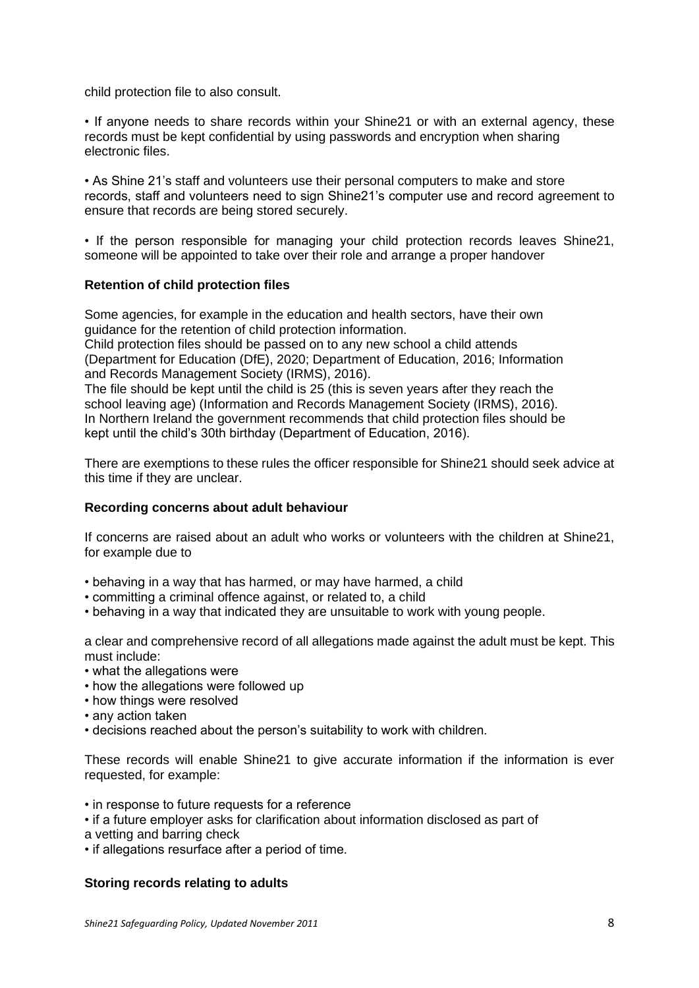child protection file to also consult.

• If anyone needs to share records within your Shine21 or with an external agency, these records must be kept confidential by using passwords and encryption when sharing electronic files.

• As Shine 21's staff and volunteers use their personal computers to make and store records, staff and volunteers need to sign Shine21's computer use and record agreement to ensure that records are being stored securely.

• If the person responsible for managing your child protection records leaves Shine21, someone will be appointed to take over their role and arrange a proper handover

#### **Retention of child protection files**

Some agencies, for example in the education and health sectors, have their own guidance for the retention of child protection information.

Child protection files should be passed on to any new school a child attends (Department for Education (DfE), 2020; Department of Education, 2016; Information and Records Management Society (IRMS), 2016).

The file should be kept until the child is 25 (this is seven years after they reach the school leaving age) (Information and Records Management Society (IRMS), 2016). In Northern Ireland the government recommends that child protection files should be kept until the child's 30th birthday (Department of Education, 2016).

There are exemptions to these rules the officer responsible for Shine21 should seek advice at this time if they are unclear.

#### **Recording concerns about adult behaviour**

If concerns are raised about an adult who works or volunteers with the children at Shine21, for example due to

- behaving in a way that has harmed, or may have harmed, a child
- committing a criminal offence against, or related to, a child
- behaving in a way that indicated they are unsuitable to work with young people.

a clear and comprehensive record of all allegations made against the adult must be kept. This must include:

- what the allegations were
- how the allegations were followed up
- how things were resolved
- any action taken
- decisions reached about the person's suitability to work with children.

These records will enable Shine21 to give accurate information if the information is ever requested, for example:

- in response to future requests for a reference
- if a future employer asks for clarification about information disclosed as part of
- a vetting and barring check
- if allegations resurface after a period of time.

#### **Storing records relating to adults**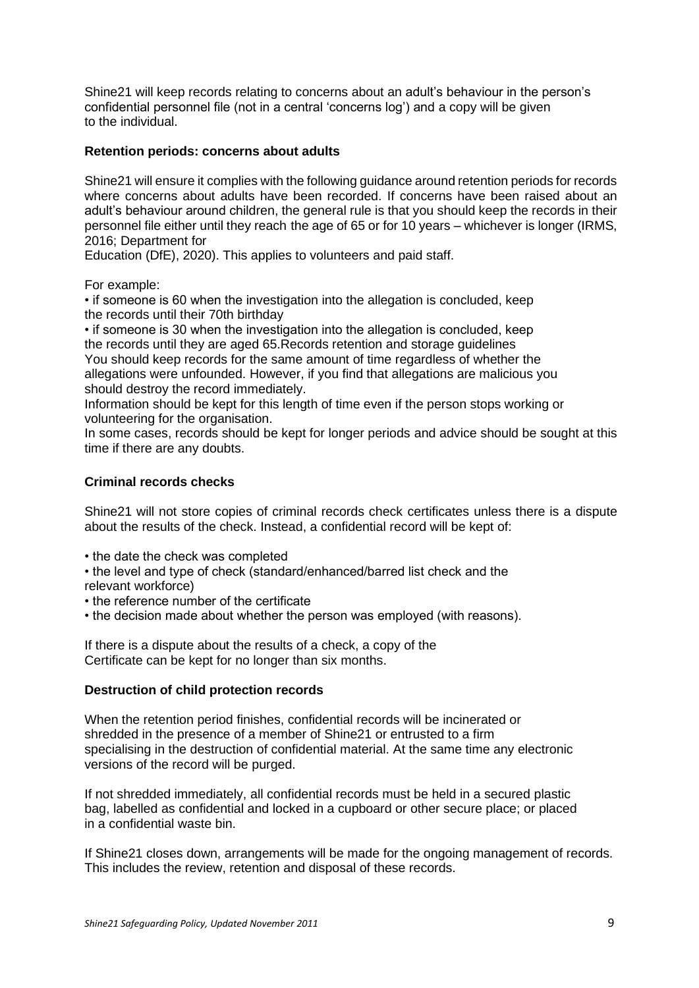Shine21 will keep records relating to concerns about an adult's behaviour in the person's confidential personnel file (not in a central 'concerns log') and a copy will be given to the individual.

#### **Retention periods: concerns about adults**

Shine21 will ensure it complies with the following guidance around retention periods for records where concerns about adults have been recorded. If concerns have been raised about an adult's behaviour around children, the general rule is that you should keep the records in their personnel file either until they reach the age of 65 or for 10 years – whichever is longer (IRMS, 2016; Department for

Education (DfE), 2020). This applies to volunteers and paid staff.

For example:

• if someone is 60 when the investigation into the allegation is concluded, keep the records until their 70th birthday

• if someone is 30 when the investigation into the allegation is concluded, keep the records until they are aged 65.Records retention and storage guidelines

You should keep records for the same amount of time regardless of whether the allegations were unfounded. However, if you find that allegations are malicious you should destroy the record immediately.

Information should be kept for this length of time even if the person stops working or volunteering for the organisation.

In some cases, records should be kept for longer periods and advice should be sought at this time if there are any doubts.

#### **Criminal records checks**

Shine21 will not store copies of criminal records check certificates unless there is a dispute about the results of the check. Instead, a confidential record will be kept of:

- the date the check was completed
- the level and type of check (standard/enhanced/barred list check and the relevant workforce)
- the reference number of the certificate
- the decision made about whether the person was employed (with reasons).

If there is a dispute about the results of a check, a copy of the Certificate can be kept for no longer than six months.

#### **Destruction of child protection records**

When the retention period finishes, confidential records will be incinerated or shredded in the presence of a member of Shine21 or entrusted to a firm specialising in the destruction of confidential material. At the same time any electronic versions of the record will be purged.

If not shredded immediately, all confidential records must be held in a secured plastic bag, labelled as confidential and locked in a cupboard or other secure place; or placed in a confidential waste bin.

If Shine21 closes down, arrangements will be made for the ongoing management of records. This includes the review, retention and disposal of these records.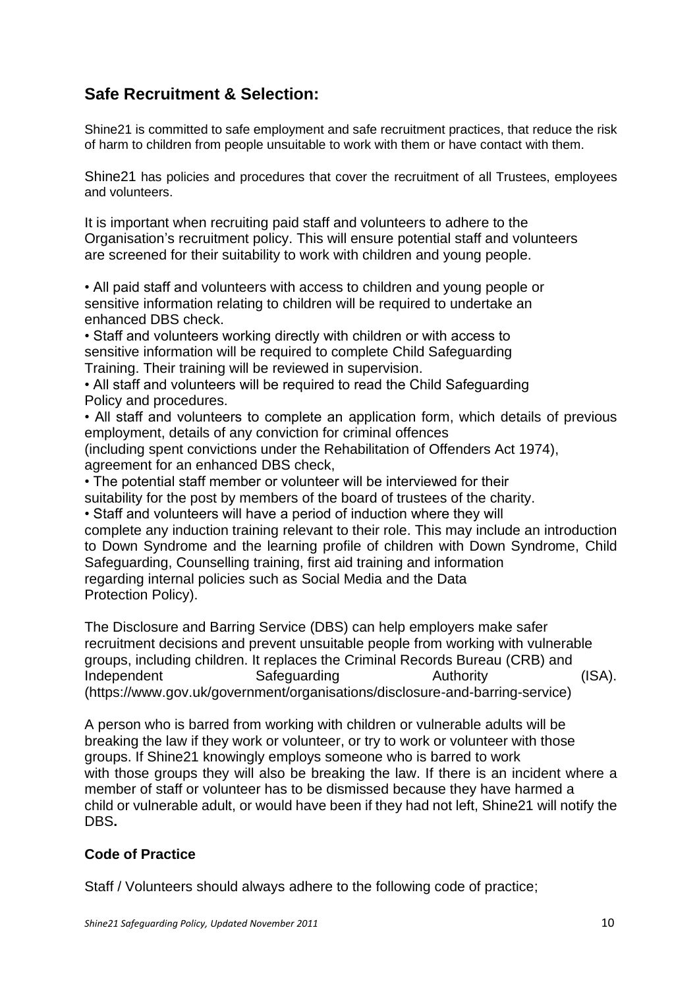# **Safe Recruitment & Selection:**

Shine21 is committed to safe employment and safe recruitment practices, that reduce the risk of harm to children from people unsuitable to work with them or have contact with them.

Shine21 has policies and procedures that cover the recruitment of all Trustees, employees and volunteers.

It is important when recruiting paid staff and volunteers to adhere to the Organisation's recruitment policy. This will ensure potential staff and volunteers are screened for their suitability to work with children and young people.

• All paid staff and volunteers with access to children and young people or sensitive information relating to children will be required to undertake an enhanced DBS check.

• Staff and volunteers working directly with children or with access to sensitive information will be required to complete Child Safeguarding Training. Their training will be reviewed in supervision.

• All staff and volunteers will be required to read the Child Safeguarding Policy and procedures.

• All staff and volunteers to complete an application form, which details of previous employment, details of any conviction for criminal offences (including spent convictions under the Rehabilitation of Offenders Act 1974), agreement for an enhanced DBS check,

• The potential staff member or volunteer will be interviewed for their suitability for the post by members of the board of trustees of the charity.

• Staff and volunteers will have a period of induction where they will

complete any induction training relevant to their role. This may include an introduction to Down Syndrome and the learning profile of children with Down Syndrome, Child Safeguarding, Counselling training, first aid training and information regarding internal policies such as Social Media and the Data Protection Policy).

The Disclosure and Barring Service (DBS) can help employers make safer recruitment decisions and prevent unsuitable people from working with vulnerable groups, including children. It replaces the Criminal Records Bureau (CRB) and Independent Safeguarding Authority (ISA). (https://www.gov.uk/government/organisations/disclosure-and-barring-service)

A person who is barred from working with children or vulnerable adults will be breaking the law if they work or volunteer, or try to work or volunteer with those groups. If Shine21 knowingly employs someone who is barred to work with those groups they will also be breaking the law. If there is an incident where a member of staff or volunteer has to be dismissed because they have harmed a child or vulnerable adult, or would have been if they had not left, Shine21 will notify the DBS**.** 

# **Code of Practice**

Staff / Volunteers should always adhere to the following code of practice;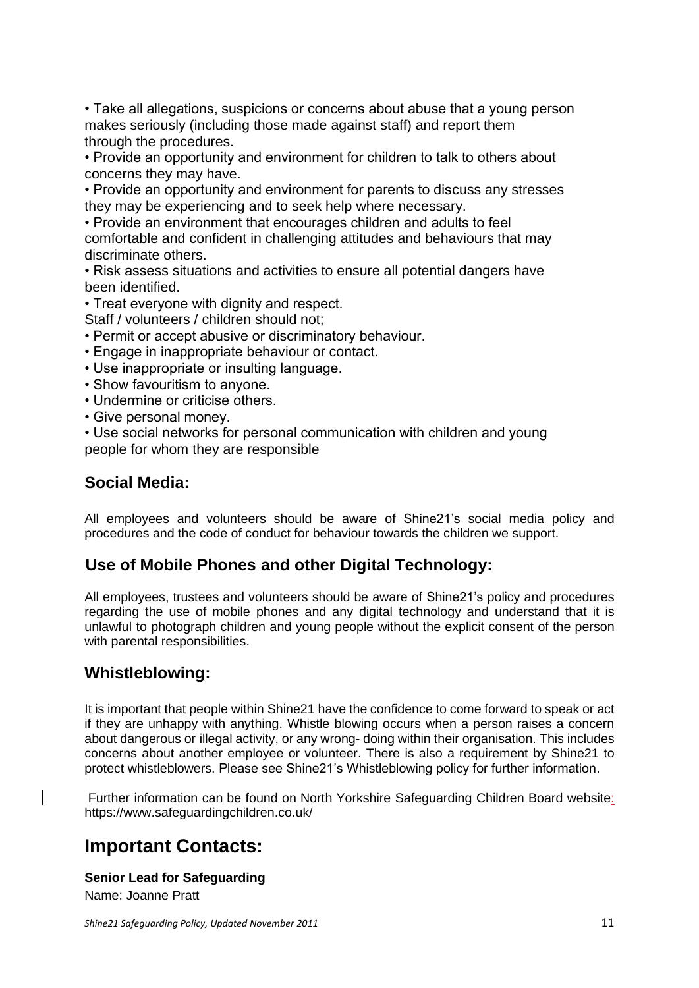• Take all allegations, suspicions or concerns about abuse that a young person makes seriously (including those made against staff) and report them through the procedures.

• Provide an opportunity and environment for children to talk to others about concerns they may have.

• Provide an opportunity and environment for parents to discuss any stresses they may be experiencing and to seek help where necessary.

• Provide an environment that encourages children and adults to feel comfortable and confident in challenging attitudes and behaviours that may discriminate others.

• Risk assess situations and activities to ensure all potential dangers have been identified.

• Treat everyone with dignity and respect.

Staff / volunteers / children should not;

- Permit or accept abusive or discriminatory behaviour.
- Engage in inappropriate behaviour or contact.
- Use inappropriate or insulting language.
- Show favouritism to anyone.
- Undermine or criticise others.
- Give personal money.

• Use social networks for personal communication with children and young people for whom they are responsible

# **Social Media:**

All employees and volunteers should be aware of Shine21's social media policy and procedures and the code of conduct for behaviour towards the children we support.

# **Use of Mobile Phones and other Digital Technology:**

All employees, trustees and volunteers should be aware of Shine21's policy and procedures regarding the use of mobile phones and any digital technology and understand that it is unlawful to photograph children and young people without the explicit consent of the person with parental responsibilities.

# **Whistleblowing:**

It is important that people within Shine21 have the confidence to come forward to speak or act if they are unhappy with anything. Whistle blowing occurs when a person raises a concern about dangerous or illegal activity, or any wrong- doing within their organisation. This includes concerns about another employee or volunteer. There is also a requirement by Shine21 to protect whistleblowers. Please see Shine21's Whistleblowing policy for further information.

Further information can be found on North Yorkshire Safeguarding Children Board website: https://www.safeguardingchildren.co.uk/

# **Important Contacts:**

#### **Senior Lead for Safeguarding**

Name: Joanne Pratt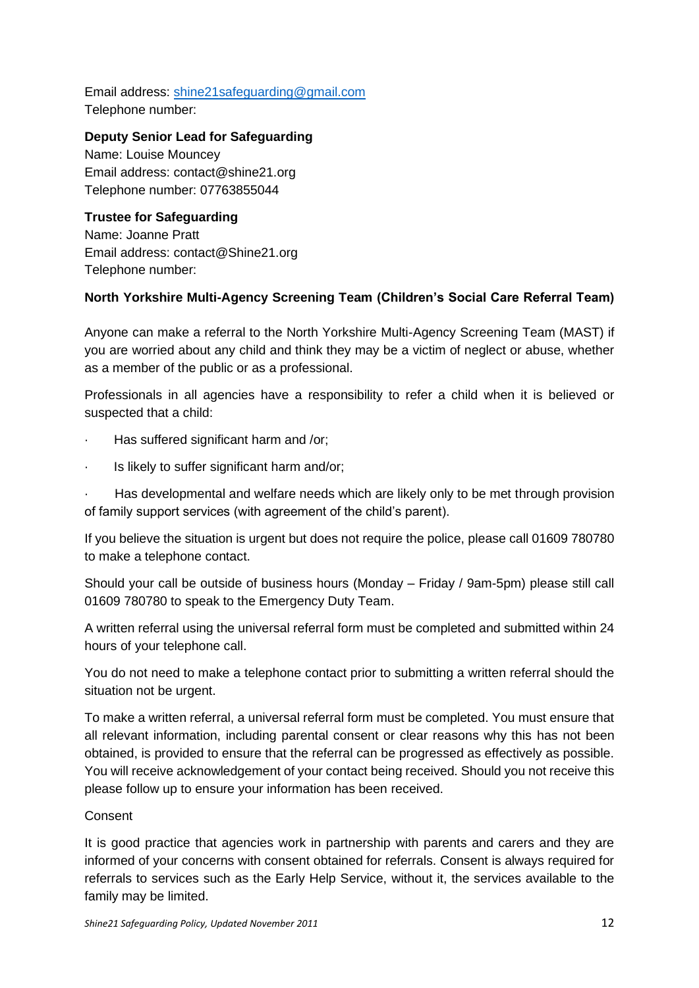Email address: [shine21safeguarding@gmail.com](mailto:shine21safeguarding@gmail.com) Telephone number:

### **Deputy Senior Lead for Safeguarding**

Name: Louise Mouncey Email address: contact@shine21.org Telephone number: 07763855044

# **Trustee for Safeguarding**

Name: Joanne Pratt Email address: contact@Shine21.org Telephone number:

# **North Yorkshire Multi-Agency Screening Team (Children's Social Care Referral Team)**

Anyone can make a referral to the North Yorkshire Multi-Agency Screening Team (MAST) if you are worried about any child and think they may be a victim of neglect or abuse, whether as a member of the public or as a professional.

Professionals in all agencies have a responsibility to refer a child when it is believed or suspected that a child:

- Has suffered significant harm and /or;
- Is likely to suffer significant harm and/or;

Has developmental and welfare needs which are likely only to be met through provision of family support services (with agreement of the child's parent).

If you believe the situation is urgent but does not require the police, please call 01609 780780 to make a telephone contact.

Should your call be outside of business hours (Monday – Friday / 9am-5pm) please still call 01609 780780 to speak to the Emergency Duty Team.

A written referral using the universal referral form must be completed and submitted within 24 hours of your telephone call.

You do not need to make a telephone contact prior to submitting a written referral should the situation not be urgent.

To make a written referral, a universal referral form must be completed. You must ensure that all relevant information, including parental consent or clear reasons why this has not been obtained, is provided to ensure that the referral can be progressed as effectively as possible. You will receive acknowledgement of your contact being received. Should you not receive this please follow up to ensure your information has been received.

### Consent

It is good practice that agencies work in partnership with parents and carers and they are informed of your concerns with consent obtained for referrals. Consent is always required for referrals to services such as the Early Help Service, without it, the services available to the family may be limited.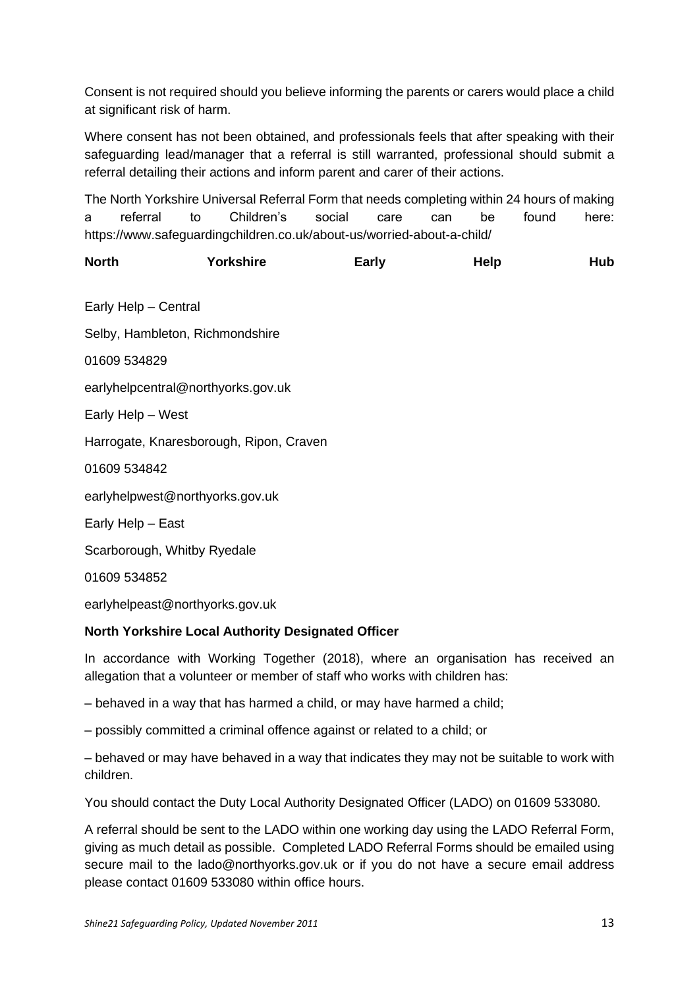Consent is not required should you believe informing the parents or carers would place a child at significant risk of harm.

Where consent has not been obtained, and professionals feels that after speaking with their safeguarding lead/manager that a referral is still warranted, professional should submit a referral detailing their actions and inform parent and carer of their actions.

The North Yorkshire Universal Referral Form that needs completing within 24 hours of making a referral to Children's social care can be found here: https://www.safeguardingchildren.co.uk/about-us/worried-about-a-child/

| <b>North</b> | Yorkshire | Early | <b>Help</b> | Hub |
|--------------|-----------|-------|-------------|-----|
|              |           |       |             |     |

Early Help – Central

Selby, Hambleton, Richmondshire

01609 534829

earlyhelpcentral@northyorks.gov.uk

Early Help – West

Harrogate, Knaresborough, Ripon, Craven

01609 534842

earlyhelpwest@northyorks.gov.uk

Early Help – East

Scarborough, Whitby Ryedale

01609 534852

earlyhelpeast@northyorks.gov.uk

#### **North Yorkshire Local Authority Designated Officer**

In accordance with Working Together (2018), where an organisation has received an allegation that a volunteer or member of staff who works with children has:

– behaved in a way that has harmed a child, or may have harmed a child;

– possibly committed a criminal offence against or related to a child; or

– behaved or may have behaved in a way that indicates they may not be suitable to work with children.

You should contact the Duty Local Authority Designated Officer (LADO) on 01609 533080.

A referral should be sent to the LADO within one working day using the LADO Referral Form, giving as much detail as possible. Completed LADO Referral Forms should be emailed using secure mail to the lado@northyorks.gov.uk or if you do not have a secure email address please contact 01609 533080 within office hours.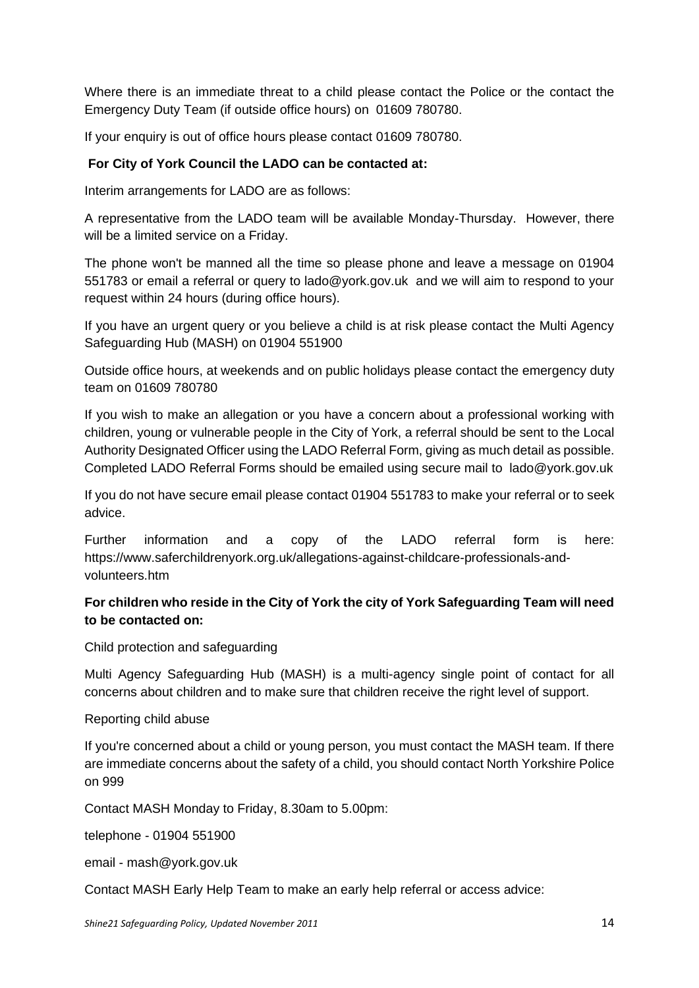Where there is an immediate threat to a child please contact the Police or the contact the Emergency Duty Team (if outside office hours) on 01609 780780.

If your enquiry is out of office hours please contact 01609 780780.

### **For City of York Council the LADO can be contacted at:**

Interim arrangements for LADO are as follows:

A representative from the LADO team will be available Monday-Thursday. However, there will be a limited service on a Friday.

The phone won't be manned all the time so please phone and leave a message on 01904 551783 or email a referral or query to lado@york.gov.uk and we will aim to respond to your request within 24 hours (during office hours).

If you have an urgent query or you believe a child is at risk please contact the Multi Agency Safeguarding Hub (MASH) on 01904 551900

Outside office hours, at weekends and on public holidays please contact the emergency duty team on 01609 780780

If you wish to make an allegation or you have a concern about a professional working with children, young or vulnerable people in the City of York, a referral should be sent to the Local Authority Designated Officer using the LADO Referral Form, giving as much detail as possible. Completed LADO Referral Forms should be emailed using secure mail to lado@york.gov.uk

If you do not have secure email please contact 01904 551783 to make your referral or to seek advice.

Further information and a copy of the LADO referral form is here: https://www.saferchildrenyork.org.uk/allegations-against-childcare-professionals-andvolunteers.htm

### **For children who reside in the City of York the city of York Safeguarding Team will need to be contacted on:**

Child protection and safeguarding

Multi Agency Safeguarding Hub (MASH) is a multi-agency single point of contact for all concerns about children and to make sure that children receive the right level of support.

#### Reporting child abuse

If you're concerned about a child or young person, you must contact the MASH team. If there are immediate concerns about the safety of a child, you should contact North Yorkshire Police on 999

Contact MASH Monday to Friday, 8.30am to 5.00pm:

telephone - 01904 551900

email - mash@york.gov.uk

Contact MASH Early Help Team to make an early help referral or access advice: